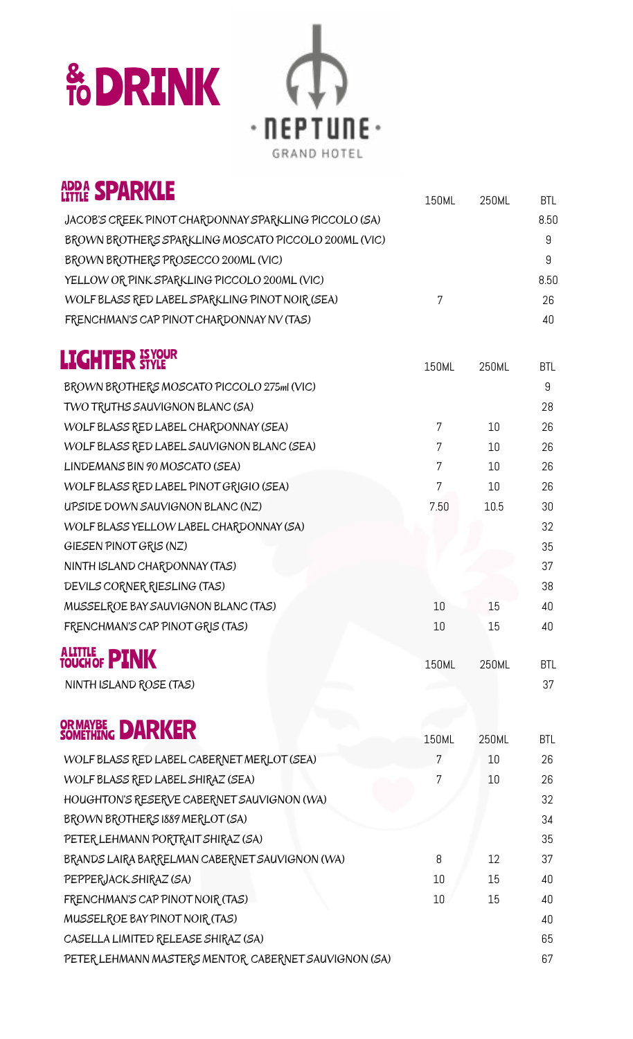# **& DRINK**



| <b>ADDA SPARKLE</b>                                   | 150ML | 250ML | <b>BTL</b> |
|-------------------------------------------------------|-------|-------|------------|
| JACOB'S CREEK PINOT CHARDONNAY SPARKLING PICCOLO (SA) |       |       | 8.50       |
| BROWN BROTHERS SPARKLING MOSCATO PICCOLO 200ML (VIC)  |       |       | 9          |
| BROWN BROTHERS PROSECCO 200ML (VIC)                   |       |       | 9          |
| YELLOW OR PINK SPARKLING PICCOLO 200ML (VIC)          |       |       | 8.50       |
| WOLF BLASS RED LABEL SPARKLING PINOT NOIR (SEA)       | 7     |       | 26         |
| FRENCHMAN'S CAP PINOT CHARDONNAY NV (TAS)             |       |       | 40         |
| <b>LIGHTER STYLE</b>                                  | 150ML | 250ML | <b>BTL</b> |
| BROWN BROTHERS MOSCATO PICCOLO 275ml (VIC)            |       |       | 9          |
| TWO TRUTHS SAUVIGNON BLANC (SA)                       |       |       | 28         |
| WOLF BLASS RED LABEL CHARDONNAY (SEA)                 | 7     | 10    | 26         |
| WOLF BLASS RED LABEL SAUVIGNON BLANC (SEA)            | 7     | 10    | 26         |
| LINDEMANS BIN 90 MOSCATO (SEA)                        | 7     | 10    | 26         |
| WOLF BLASS RED LABEL PINOT GRIGIO (SEA)               | 7     | 10    | 26         |
| UPSIDE DOWN SAUVIGNON BLANC (NZ)                      | 7.50  | 10.5  | 30         |
| WOLF BLASS YELLOW LABEL CHARDONNAY (SA)               |       |       | 32         |
| GIESEN PINOT GRIS (NZ)                                |       |       | 35         |
| NINTH ISLAND CHARDONNAY (TAS)                         |       |       | 37         |
| DEVILS CORNER RIESLING (TAS)                          |       |       | 38         |
| MUSSELROE BAY SAUVIGNON BLANC (TAS)                   | 10    | 15    | 40         |
| FRENCHMAN'S CAP PINOT GRIS (TAS)                      | 10    | 15    | 40         |
| ALITTLE <b>PINK</b>                                   | 150ML | 250ML | <b>BTL</b> |
| NINTH ISLAND ROSE (TAS)                               |       |       | 37         |
| OR MAYBE <b>DARKER</b>                                | 150ML | 250ML | <b>BTL</b> |
| WOLF BLASS RED LABEL CABERNET MERLOT (SEA)            | 7     | 10    | 26         |
| WOLF BLASS RED LABEL SHIRAZ (SEA)                     | 7     | 10    | 26         |
| HOUGHTON'S RESERVE CABERNET SAUVIGNON (WA)            |       |       | 32         |
| BROWN BROTHERS 1889 MERLOT (SA)                       |       |       | 34         |
| PETER LEHMANN PORTRAIT SHIRAZ (SA)                    |       |       | 35         |
| BRANDS LAIRA BARRELMAN CABERNET SAUVIGNON (WA)        | 8     | 12    | 37         |
| PEPPERJACK SHIRAZ (SA)                                | 10    | 15    | 40         |
| FRENCHMAN'S CAP PINOT NOIR (TAS)                      | 10    | 15    | 40         |
| MUSSELROE BAY PINOT NOIR (TAS)                        |       |       | 40         |
| CASELLA LIMITED RELEASE SHIRAZ (SA)                   |       |       | 65         |
| PETER LEHMANN MASTERS MENTOR CABERNET SAUVIGNON (SA)  |       |       | 67         |
|                                                       |       |       |            |